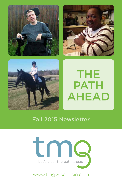





# THE **PATH** AHEAD

# Fall 2015 Newsletter



www.tmgwisconsin.com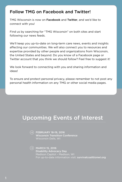### Follow TMG on Facebook and Twitter!

TMG Wisconsin is now on Facebook and Twitter, and we'd like to connect with you!

Find us by searching for "TMG Wisconsin" on both sites and start following our news feeds.

We'll keep you up-to-date on long-term care news, events and insights affecting our communities. We will also connect you to resources and expertise provided by other people and organizations from Wisconsin, the United States and beyond. Do you know of a Facebook page or Twitter account that you think we should follow? Feel free to suggest it!

We look forward to connecting with you and sharing information and ideas!

To ensure and protect personal privacy, please remember to not post any personal health information on any TMG or other social media pages.

# Upcoming Events of Interest

 $\left(\rightarrow\right)$  FEBRUARY 18-19, 2016 Wisconsin Transition Conference Wisconsin Dells, WI

 $\left(\rightarrow\right)$  MARCH 15, 2016 Disability Advocacy Day Madison Capitol – Madison, WI For up-to-date information visit: survivalcoalitionwi.org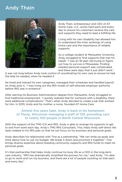## Andy Thain



Andy Thain, entrepreneur and CEO of AT Home Care, LLC, works hard each and every day to ensure his customers receive the care and supports they need to lead a fulfilling life.

Living with his own disability has allowed him to understand the inner workings of using home care and the importance of reliable supports.

As a college student at Marquette University, Andy struggled to find supports that met his needs. "I was an 18-year-old trying to figure out how to survive in Milwaukee. Finding needed personal support was complicated and there were days that it just didn't work."

It was not long before Andy took control of coordinating his own care to ensure he had the help he needed, when he needed it.

He hired and trained his own caregivers, managed their schedules and handled payroll. As Andy puts it, "I was living out the IRIS model of self-directed employer authority before IRIS was in existence."

After earning his Business Administration degree from Marquette, Andy struggled to find traditional employment. "I quickly realized that for someone with a disability, there were additional complications." That's when Andy decided to create a job that worked for him. In 2010, Andy and his mother, a nurse, founded AT Home Care.

#### Almost five years later, Andy is back in his hometown of Thorp, Wisconsin managing a staff of 130, providing care to nearly 100 people in North Central Wisconsin.

With the support of the TMG ICA and IRIS, Andy is able to arrange his supports to get to and from work each day. Andy's TMG IRIS Consultant, Tina, helps Andy self-direct the tasks related to his IRIS plan so that he can focus on his business and personal goals.

Andy describes his relationship with Tina as a partnership. "We can write up goals and think about how to use my budget. We break it down and prioritize it together." Tina brings diverse expertise about braiding community supports and IRIS funds to meet his personal goals.

It's that partnership that helps Andy continue his busy life as a CEO in the long-term care industry. "IRIS has dramatically simplified the process for me," said Andy. "I'm able to go to work and run my business, and there are a lot of people counting on that each and every day."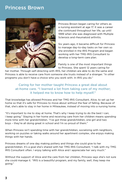### Princess Brown



Princess Brown began caring for others as a nursing assistant at age 17. It was a career she continued throughout her life, up until 1999 when she was diagnosed with Multiple Sclerosis and rheumatoid arthritis.

Six years ago, it became difficult for Princess to manage day-to-day tasks on her own so she enrolled in the IRIS Program and began working with her TMG IRIS Consultant to develop a long-term care plan.

Family is one of the most important things to Princess. She spent 12 years caring for

her mother. Through self-directing with IRIS, her children are able to do the same and Princess is able to receive care from someone she trusts instead of a stranger. "In other programs you don't have a choice who you work with. In IRIS you do."

#### Caring for her mother taught Princess a great deal about at-home care. "I learned a lot from taking care of my mother; it helped me to know how to help myself."

That knowledge has allowed Princess and her TMG IRIS Consultant, Alice, to set up her home so that it's safe for Princess to move about without the fear of falling. Because of that, she's able to stay in her home in Milwaukee, instead of moving into a nursing home.

"It's important to me to stay at home. That's why I keep trying to do the best I can; I keep going." Staying in her home and receiving care from her children means spending more time with her grandchildren. "I've got three grandchildren, one girl and two boys – they're all doing great in school and I'm so proud of them."

When Princess isn't spending time with her grandchildren, socializing with neighbors, working on puzzles or taking walks around her apartment complex, she enjoys making things with her hands.

Princess dreams of one day making pottery and things she could give to her grandchildren. It's a goal she's shared with her TMG IRIS Consultant; "I talk with my TMG IRIS Consultant often. I enjoy talking with Alice and I appreciate her very much."

Without the support of Alice and the care from her children, Princess says she's not sure she could manage it. "IRIS is a beautiful program, and my family, well, they keep me going."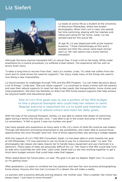### Liz Siefert



Liz leads an active life as a student at the University of Wisconsin-Milwaukee, where she studies photography. When she's not in class, she spends her time swimming, playing with her nephew and riding and caring for her horse, Julian. Liz has worked hard for this active life.

At age 16, Liz was diagnosed with acute myeloid leukemia. "I tried chemotherapy at first and it worked, but then the cancer came back strong," said Liz. Her next option was a bone marrow transplant.

Although the bone marrow transplant left Liz cancer-free, it took a toll on her body. While under anesthesia for a routine procedure, Liz suffered a heart attack. The experience left her with an anoxic brain injury.

"It takes a long time to recover from that," said Liz's mother, Linda. "It's what she suffers from the most and it's what drives her need for supports." Her injury made many of the things she used to love doing a near impossibility.

Liz found answers to challenges through TMG and the IRIS Program. "Liz can make decisions about a lot of things," Linda said. "She just needs support." Liz continues to share a home with her parents and uses their natural supports to meet her day-to-day needs, like transportation, home chores and meal preparation. She then has flexibility to direct her IRIS funds toward supports that help achieve her physical health and educational goals.

#### One of Liz's first goals was to use a portion of her IRIS budget to hire a physical therapist who could help her relearn to swim. Regular exercise is important for Liz to build and maintain her strength to attend school and meet her daily goals.

With the help of her physical therapist, Ashley, Liz was able to realize that dream of swimming again during a family trip this past June. "I was able to go in the ocean and jump in the waves," Liz remembers. "It felt so good. It was my number one goal."

Like many people who experience an injury early in life, Liz's vision of what life could be was shaken. Through self-direction and being empowered to see possibilities, she's been able to pursue those opportunities she once thought were lost. One of those opportunities was earning a college degree.

With the support of Liz's TMG IRIS Consultant, Sarah, Liz has been able to work towards her goal at UW-Milwaukee. "I'm now planning to use my funds to pay for a classroom aide," Liz said. The photography lab classes she takes require her to handle heavy equipment and use chemicals in a darkroom. These types of tasks are physically difficult for Liz. "Her hope is that IRIS could help fund an aide who could help her with that," said Linda. Sarah and Liz are now working together to get a short-term budget revision that could help make that happen.

When asked about her future plans, Liz said, "My goal is to get my degree. Right now, I'm a junior, so I'm getting close."

After graduation, Liz plans to combine her two passions and start her own business photographing horse shows. Anyone who has met Liz knows it's a dream she will make a reality.

Liz persists with a positive attitude and big dreams. Her mother said, "She's a battler. Her motto has always been, 'I just have to move forward.'" 4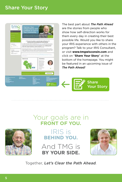### Share Your Story



The best part about *The Path Ahead* are the stories from people who show how self-direction works for them every day in creating their best possible life. Would you like to share your IRIS experience with others in the program? Talk to your IRIS Consultant, or visit **www.tmgwisconsin.com** and click on "**Share Your Story**" at the bottom of the homepage. You might be featured in an upcoming issue of *The Path Ahead!*



# Your goals are in **FRONT OF YOU.**



# **BEHIND YOU.** IRIS is

And TMG is **BY YOUR SIDE.**



Together, **Let's Clear the Path Ahead**.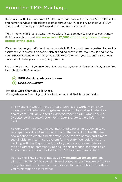### From the TMG Mailbag...

Did you know that you and your IRIS Consultant are supported by over 500 TMG health and human services professionals located throughout Wisconsin? Each of us is 100% committed to making your IRIS experience the best that it can be.

TMG is the only IRIS Consultant Agency with a local community presence everywhere IRIS is available. In total, **we serve over 12,500 of our neighbors in every corner of the state**.

We know that as you self-direct your supports in IRIS, you will need a partner to provide assistance with creating an action plan or finding community resources. In addition to your IRIS Consultant, who's always available to partner with you, the entire TMG team stands ready to help you in every way possible.

We are here for you. If you need us, please contact your IRIS Consultant first, or feel free to contact the TMG team at:

IRISinfo@tmgwisconsin.com 1-844-864-8987

Together, *Let's Clear the Path Ahead*.

Your goals are in front of you, IRIS is behind you and TMG is by your side.

The Wisconsin Department of Health Services is working on a new model that will integrate long-term care with physical and behavioral health care. TMG developed a *Concept Paper on the Future of Self-Direction in Wisconsin's Long Term Care System* to help inform their work.

As our paper indicates, we see integrated care as an opportunity to leverage the value of self-direction with the benefits of health care coordination to create a better experience for the person and a more sustainable long-term care system for the state. We look forward to working with the Department, the Legislature and stakeholders in the self-direction community to ensure self-direction continues as a fundamental component of Wisconsin's long-term care system.

To view the TMG concept paper, visit **www.tmgwisconsin.com** and click on "2015-2017 Wisconsin State Budget" under "Resources" in the navigation menu. Please feel free to share the information with others you think might be interested!